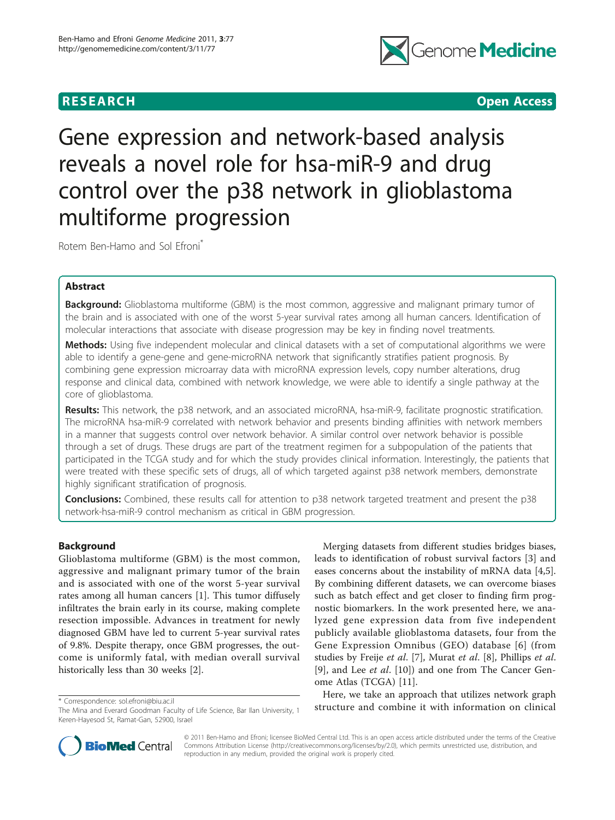

**RESEARCH CONTROL** CONTROL CONTROL CONTROL CONTROL CONTROL CONTROL CONTROL CONTROL CONTROL CONTROL CONTROL CONTROL CONTROL CONTROL CONTROL CONTROL CONTROL CONTROL CONTROL CONTROL CONTROL CONTROL CONTROL CONTROL CONTROL CON

Gene expression and network-based analysis reveals a novel role for hsa-miR-9 and drug control over the p38 network in glioblastoma multiforme progression

Rotem Ben-Hamo and Sol Efroni\*

# Abstract

Background: Glioblastoma multiforme (GBM) is the most common, aggressive and malignant primary tumor of the brain and is associated with one of the worst 5-year survival rates among all human cancers. Identification of molecular interactions that associate with disease progression may be key in finding novel treatments.

Methods: Using five independent molecular and clinical datasets with a set of computational algorithms we were able to identify a gene-gene and gene-microRNA network that significantly stratifies patient prognosis. By combining gene expression microarray data with microRNA expression levels, copy number alterations, drug response and clinical data, combined with network knowledge, we were able to identify a single pathway at the core of glioblastoma.

Results: This network, the p38 network, and an associated microRNA, hsa-miR-9, facilitate prognostic stratification. The microRNA hsa-miR-9 correlated with network behavior and presents binding affinities with network members in a manner that suggests control over network behavior. A similar control over network behavior is possible through a set of drugs. These drugs are part of the treatment regimen for a subpopulation of the patients that participated in the TCGA study and for which the study provides clinical information. Interestingly, the patients that were treated with these specific sets of drugs, all of which targeted against p38 network members, demonstrate highly significant stratification of prognosis.

Conclusions: Combined, these results call for attention to p38 network targeted treatment and present the p38 network-hsa-miR-9 control mechanism as critical in GBM progression.

# Background

Glioblastoma multiforme (GBM) is the most common, aggressive and malignant primary tumor of the brain and is associated with one of the worst 5-year survival rates among all human cancers [[1](#page-7-0)]. This tumor diffusely infiltrates the brain early in its course, making complete resection impossible. Advances in treatment for newly diagnosed GBM have led to current 5-year survival rates of 9.8%. Despite therapy, once GBM progresses, the outcome is uniformly fatal, with median overall survival historically less than 30 weeks [[2\]](#page-7-0).

Merging datasets from different studies bridges biases, leads to identification of robust survival factors [[3\]](#page-7-0) and eases concerns about the instability of mRNA data [\[4,5](#page-7-0)]. By combining different datasets, we can overcome biases such as batch effect and get closer to finding firm prognostic biomarkers. In the work presented here, we analyzed gene expression data from five independent publicly available glioblastoma datasets, four from the Gene Expression Omnibus (GEO) database [[6](#page-7-0)] (from studies by Freije et al. [[7\]](#page-7-0), Murat et al. [\[8](#page-7-0)], Phillips et al. [[9\]](#page-7-0), and Lee *et al.* [[10](#page-7-0)]) and one from The Cancer Genome Atlas (TCGA) [[11](#page-7-0)].

Here, we take an approach that utilizes network graph \* Correspondence: solefroni@biu.ac.il<br>The Mina and Everard Goodman Eaculty of Life Science, Bar Ilan University 1 structure and combine it with information on clinical



© 2011 Ben-Hamo and Efroni; licensee BioMed Central Ltd. This is an open access article distributed under the terms of the Creative Commons Attribution License [\(http://creativecommons.org/licenses/by/2.0](http://creativecommons.org/licenses/by/2.0)), which permits unrestricted use, distribution, and reproduction in any medium, provided the original work is properly cited.

The Mina and Everard Goodman Faculty of Life Science, Bar Ilan University, 1 Keren-Hayesod St, Ramat-Gan, 52900, Israel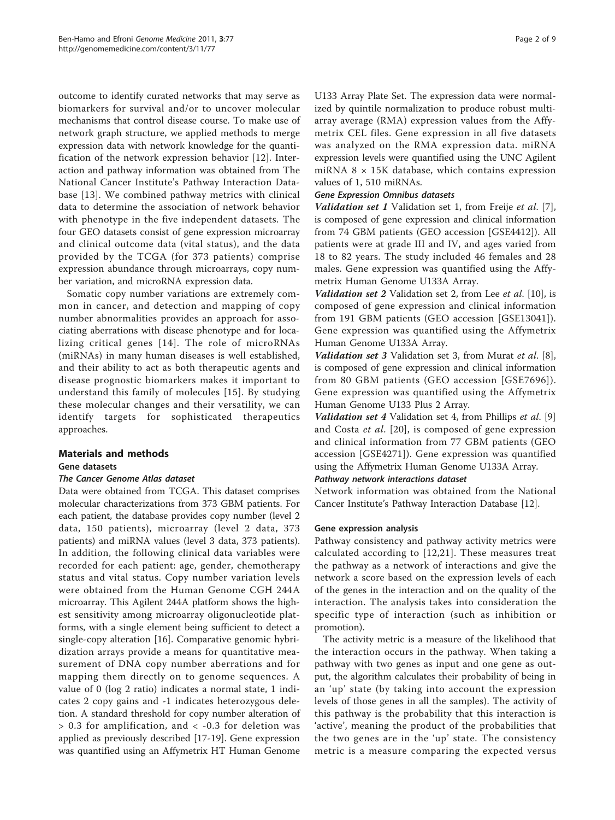outcome to identify curated networks that may serve as biomarkers for survival and/or to uncover molecular mechanisms that control disease course. To make use of network graph structure, we applied methods to merge expression data with network knowledge for the quantification of the network expression behavior [[12\]](#page-7-0). Interaction and pathway information was obtained from The National Cancer Institute's Pathway Interaction Database [[13](#page-7-0)]. We combined pathway metrics with clinical data to determine the association of network behavior with phenotype in the five independent datasets. The four GEO datasets consist of gene expression microarray and clinical outcome data (vital status), and the data provided by the TCGA (for 373 patients) comprise expression abundance through microarrays, copy number variation, and microRNA expression data.

Somatic copy number variations are extremely common in cancer, and detection and mapping of copy number abnormalities provides an approach for associating aberrations with disease phenotype and for localizing critical genes [[14\]](#page-7-0). The role of microRNAs (miRNAs) in many human diseases is well established, and their ability to act as both therapeutic agents and disease prognostic biomarkers makes it important to understand this family of molecules [[15\]](#page-7-0). By studying these molecular changes and their versatility, we can identify targets for sophisticated therapeutics approaches.

# Materials and methods

# Gene datasets

## The Cancer Genome Atlas dataset

Data were obtained from TCGA. This dataset comprises molecular characterizations from 373 GBM patients. For each patient, the database provides copy number (level 2 data, 150 patients), microarray (level 2 data, 373 patients) and miRNA values (level 3 data, 373 patients). In addition, the following clinical data variables were recorded for each patient: age, gender, chemotherapy status and vital status. Copy number variation levels were obtained from the Human Genome CGH 244A microarray. This Agilent 244A platform shows the highest sensitivity among microarray oligonucleotide platforms, with a single element being sufficient to detect a single-copy alteration [[16](#page-7-0)]. Comparative genomic hybridization arrays provide a means for quantitative measurement of DNA copy number aberrations and for mapping them directly on to genome sequences. A value of 0 (log 2 ratio) indicates a normal state, 1 indicates 2 copy gains and -1 indicates heterozygous deletion. A standard threshold for copy number alteration of > 0.3 for amplification, and < -0.3 for deletion was applied as previously described [[17-19](#page-7-0)]. Gene expression was quantified using an Affymetrix HT Human Genome U133 Array Plate Set. The expression data were normalized by quintile normalization to produce robust multiarray average (RMA) expression values from the Affymetrix CEL files. Gene expression in all five datasets was analyzed on the RMA expression data. miRNA expression levels were quantified using the UNC Agilent miRNA  $8 \times 15K$  database, which contains expression values of 1, 510 miRNAs.

## Gene Expression Omnibus datasets

Validation set 1 Validation set 1, from Freije et al. [\[7](#page-7-0)], is composed of gene expression and clinical information from 74 GBM patients (GEO accession [GSE4412]). All patients were at grade III and IV, and ages varied from 18 to 82 years. The study included 46 females and 28 males. Gene expression was quantified using the Affymetrix Human Genome U133A Array.

Validation set 2 Validation set 2, from Lee et al.  $[10]$ , is composed of gene expression and clinical information from 191 GBM patients (GEO accession [GSE13041]). Gene expression was quantified using the Affymetrix Human Genome U133A Array.

Validation set 3 Validation set 3, from Murat et al. [\[8](#page-7-0)], is composed of gene expression and clinical information from 80 GBM patients (GEO accession [GSE7696]). Gene expression was quantified using the Affymetrix Human Genome U133 Plus 2 Array.

Validation set 4 Validation set 4, from Phillips et al. [[9](#page-7-0)] and Costa et al. [[20](#page-8-0)], is composed of gene expression and clinical information from 77 GBM patients (GEO accession [GSE4271]). Gene expression was quantified using the Affymetrix Human Genome U133A Array.

## Pathway network interactions dataset

Network information was obtained from the National Cancer Institute's Pathway Interaction Database [[12\]](#page-7-0).

# Gene expression analysis

Pathway consistency and pathway activity metrics were calculated according to [\[12,](#page-7-0)[21](#page-8-0)]. These measures treat the pathway as a network of interactions and give the network a score based on the expression levels of each of the genes in the interaction and on the quality of the interaction. The analysis takes into consideration the specific type of interaction (such as inhibition or promotion).

The activity metric is a measure of the likelihood that the interaction occurs in the pathway. When taking a pathway with two genes as input and one gene as output, the algorithm calculates their probability of being in an 'up' state (by taking into account the expression levels of those genes in all the samples). The activity of this pathway is the probability that this interaction is 'active', meaning the product of the probabilities that the two genes are in the 'up' state. The consistency metric is a measure comparing the expected versus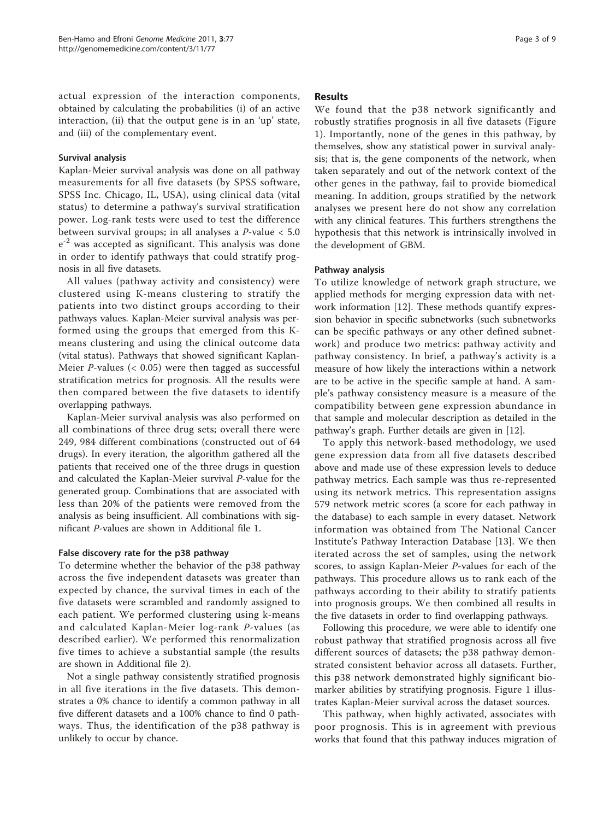actual expression of the interaction components, obtained by calculating the probabilities (i) of an active interaction, (ii) that the output gene is in an 'up' state, and (iii) of the complementary event.

## Survival analysis

Kaplan-Meier survival analysis was done on all pathway measurements for all five datasets (by SPSS software, SPSS Inc. Chicago, IL, USA), using clinical data (vital status) to determine a pathway's survival stratification power. Log-rank tests were used to test the difference between survival groups; in all analyses a  $P$ -value  $<$  5.0  $e^{-2}$  was accepted as significant. This analysis was done in order to identify pathways that could stratify prognosis in all five datasets.

All values (pathway activity and consistency) were clustered using K-means clustering to stratify the patients into two distinct groups according to their pathways values. Kaplan-Meier survival analysis was performed using the groups that emerged from this Kmeans clustering and using the clinical outcome data (vital status). Pathways that showed significant Kaplan-Meier P-values (< 0.05) were then tagged as successful stratification metrics for prognosis. All the results were then compared between the five datasets to identify overlapping pathways.

Kaplan-Meier survival analysis was also performed on all combinations of three drug sets; overall there were 249, 984 different combinations (constructed out of 64 drugs). In every iteration, the algorithm gathered all the patients that received one of the three drugs in question and calculated the Kaplan-Meier survival P-value for the generated group. Combinations that are associated with less than 20% of the patients were removed from the analysis as being insufficient. All combinations with significant P-values are shown in Additional file [1.](#page-7-0)

## False discovery rate for the p38 pathway

To determine whether the behavior of the p38 pathway across the five independent datasets was greater than expected by chance, the survival times in each of the five datasets were scrambled and randomly assigned to each patient. We performed clustering using k-means and calculated Kaplan-Meier log-rank P-values (as described earlier). We performed this renormalization five times to achieve a substantial sample (the results are shown in Additional file [2\)](#page-7-0).

Not a single pathway consistently stratified prognosis in all five iterations in the five datasets. This demonstrates a 0% chance to identify a common pathway in all five different datasets and a 100% chance to find 0 pathways. Thus, the identification of the p38 pathway is unlikely to occur by chance.

## Results

We found that the p38 network significantly and robustly stratifies prognosis in all five datasets (Figure [1\)](#page-3-0). Importantly, none of the genes in this pathway, by themselves, show any statistical power in survival analysis; that is, the gene components of the network, when taken separately and out of the network context of the other genes in the pathway, fail to provide biomedical meaning. In addition, groups stratified by the network analyses we present here do not show any correlation with any clinical features. This furthers strengthens the hypothesis that this network is intrinsically involved in the development of GBM.

## Pathway analysis

To utilize knowledge of network graph structure, we applied methods for merging expression data with network information [[12\]](#page-7-0). These methods quantify expression behavior in specific subnetworks (such subnetworks can be specific pathways or any other defined subnetwork) and produce two metrics: pathway activity and pathway consistency. In brief, a pathway's activity is a measure of how likely the interactions within a network are to be active in the specific sample at hand. A sample's pathway consistency measure is a measure of the compatibility between gene expression abundance in that sample and molecular description as detailed in the pathway's graph. Further details are given in [\[12](#page-7-0)].

To apply this network-based methodology, we used gene expression data from all five datasets described above and made use of these expression levels to deduce pathway metrics. Each sample was thus re-represented using its network metrics. This representation assigns 579 network metric scores (a score for each pathway in the database) to each sample in every dataset. Network information was obtained from The National Cancer Institute's Pathway Interaction Database [[13\]](#page-7-0). We then iterated across the set of samples, using the network scores, to assign Kaplan-Meier P-values for each of the pathways. This procedure allows us to rank each of the pathways according to their ability to stratify patients into prognosis groups. We then combined all results in the five datasets in order to find overlapping pathways.

Following this procedure, we were able to identify one robust pathway that stratified prognosis across all five different sources of datasets; the p38 pathway demonstrated consistent behavior across all datasets. Further, this p38 network demonstrated highly significant biomarker abilities by stratifying prognosis. Figure [1](#page-3-0) illustrates Kaplan-Meier survival across the dataset sources.

This pathway, when highly activated, associates with poor prognosis. This is in agreement with previous works that found that this pathway induces migration of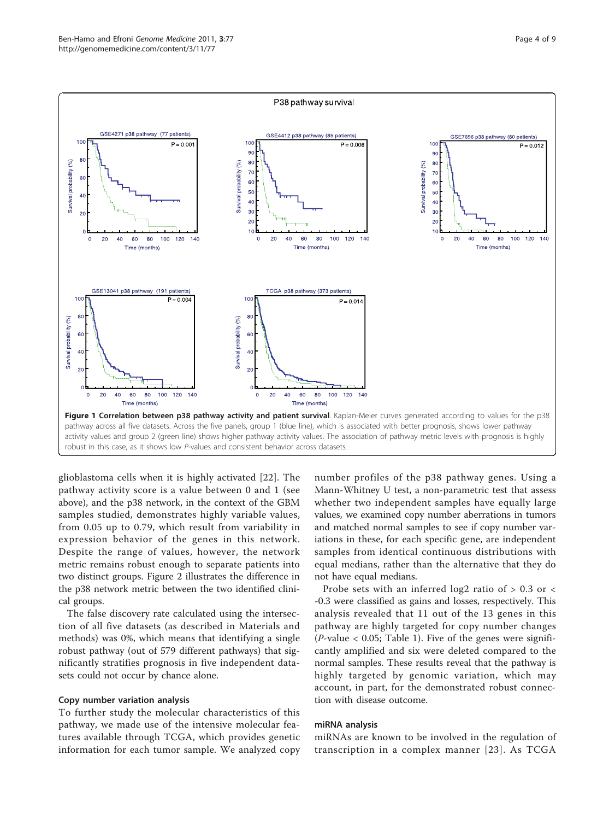<span id="page-3-0"></span>

glioblastoma cells when it is highly activated [[22\]](#page-8-0). The pathway activity score is a value between 0 and 1 (see above), and the p38 network, in the context of the GBM samples studied, demonstrates highly variable values, from 0.05 up to 0.79, which result from variability in expression behavior of the genes in this network. Despite the range of values, however, the network metric remains robust enough to separate patients into two distinct groups. Figure [2](#page-4-0) illustrates the difference in the p38 network metric between the two identified clinical groups.

The false discovery rate calculated using the intersection of all five datasets (as described in Materials and methods) was 0%, which means that identifying a single robust pathway (out of 579 different pathways) that significantly stratifies prognosis in five independent datasets could not occur by chance alone.

## Copy number variation analysis

To further study the molecular characteristics of this pathway, we made use of the intensive molecular features available through TCGA, which provides genetic information for each tumor sample. We analyzed copy

number profiles of the p38 pathway genes. Using a Mann-Whitney U test, a non-parametric test that assess whether two independent samples have equally large values, we examined copy number aberrations in tumors and matched normal samples to see if copy number variations in these, for each specific gene, are independent samples from identical continuous distributions with equal medians, rather than the alternative that they do not have equal medians.

Probe sets with an inferred log2 ratio of  $> 0.3$  or  $<$ -0.3 were classified as gains and losses, respectively. This analysis revealed that 11 out of the 13 genes in this pathway are highly targeted for copy number changes ( $P$ -value < 0.05; Table [1\)](#page-5-0). Five of the genes were significantly amplified and six were deleted compared to the normal samples. These results reveal that the pathway is highly targeted by genomic variation, which may account, in part, for the demonstrated robust connection with disease outcome.

## miRNA analysis

miRNAs are known to be involved in the regulation of transcription in a complex manner [[23\]](#page-8-0). As TCGA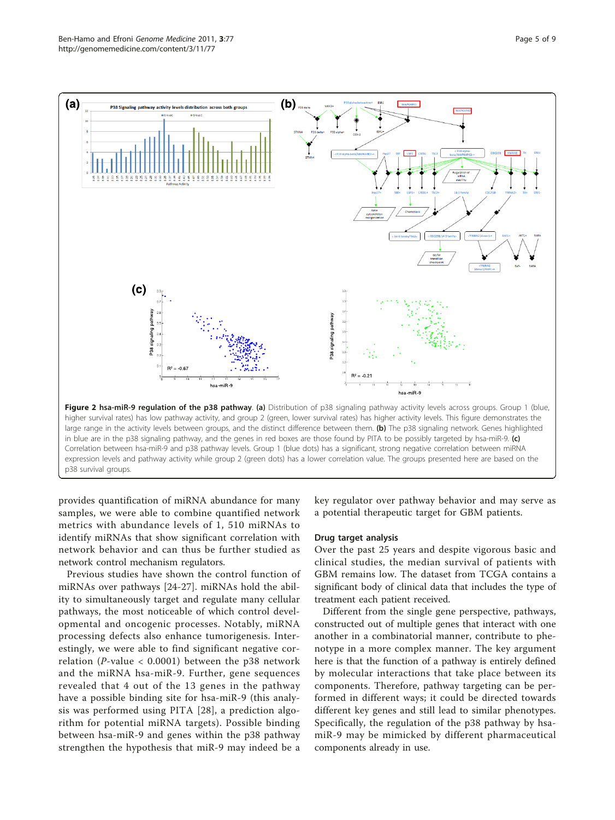<span id="page-4-0"></span>

Correlation between hsa-miR-9 and p38 pathway levels. Group 1 (blue dots) has a significant, strong negative correlation between miRNA expression levels and pathway activity while group 2 (green dots) has a lower correlation value. The groups presented here are based on the p38 survival groups.

provides quantification of miRNA abundance for many samples, we were able to combine quantified network metrics with abundance levels of 1, 510 miRNAs to identify miRNAs that show significant correlation with network behavior and can thus be further studied as network control mechanism regulators.

Previous studies have shown the control function of miRNAs over pathways [[24-27\]](#page-8-0). miRNAs hold the ability to simultaneously target and regulate many cellular pathways, the most noticeable of which control developmental and oncogenic processes. Notably, miRNA processing defects also enhance tumorigenesis. Interestingly, we were able to find significant negative correlation ( $P$ -value < 0.0001) between the p38 network and the miRNA hsa-miR-9. Further, gene sequences revealed that 4 out of the 13 genes in the pathway have a possible binding site for hsa-miR-9 (this analysis was performed using PITA [[28\]](#page-8-0), a prediction algorithm for potential miRNA targets). Possible binding between hsa-miR-9 and genes within the p38 pathway strengthen the hypothesis that miR-9 may indeed be a

key regulator over pathway behavior and may serve as a potential therapeutic target for GBM patients.

## Drug target analysis

Over the past 25 years and despite vigorous basic and clinical studies, the median survival of patients with GBM remains low. The dataset from TCGA contains a significant body of clinical data that includes the type of treatment each patient received.

Different from the single gene perspective, pathways, constructed out of multiple genes that interact with one another in a combinatorial manner, contribute to phenotype in a more complex manner. The key argument here is that the function of a pathway is entirely defined by molecular interactions that take place between its components. Therefore, pathway targeting can be performed in different ways; it could be directed towards different key genes and still lead to similar phenotypes. Specifically, the regulation of the p38 pathway by hsamiR-9 may be mimicked by different pharmaceutical components already in use.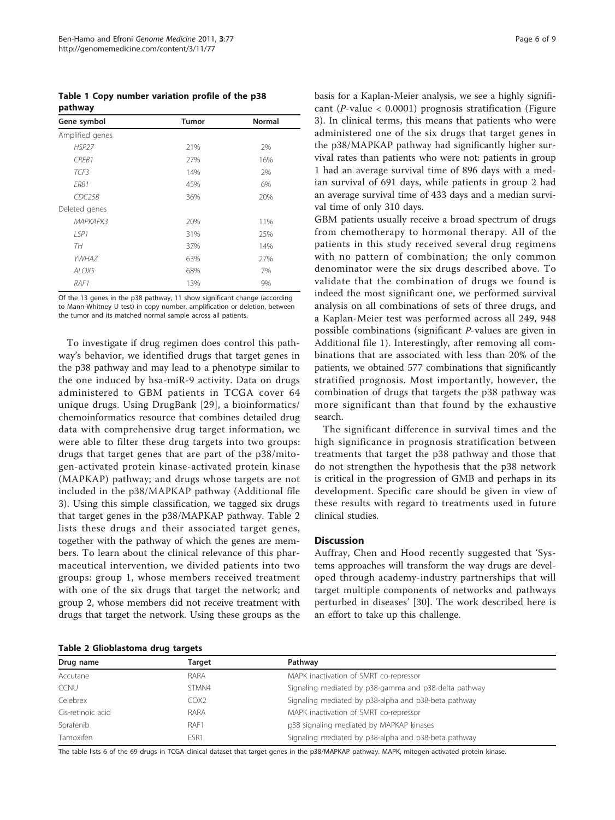<span id="page-5-0"></span>Table 1 Copy number variation profile of the p38 pathway

| Gene symbol      | <b>Tumor</b> | <b>Normal</b> |
|------------------|--------------|---------------|
| Amplified genes  |              |               |
| HSP27            | 21%          | 2%            |
| CRFB1            | 27%          | 16%           |
| TCF3             | 14%          | 2%            |
| <b>ER81</b>      | 45%          | 6%            |
| CDC25B           | 36%          | 20%           |
| Deleted genes    |              |               |
| МАРКАРКЗ         | 20%          | 11%           |
| LSP <sub>1</sub> | 31%          | 25%           |
| TH               | 37%          | 14%           |
| YWHAZ            | 63%          | 27%           |
| AI OX5           | 68%          | 7%            |
| RAF1             | 13%          | 9%            |

Of the 13 genes in the p38 pathway, 11 show significant change (according to Mann-Whitney U test) in copy number, amplification or deletion, between the tumor and its matched normal sample across all patients.

To investigate if drug regimen does control this pathway's behavior, we identified drugs that target genes in the p38 pathway and may lead to a phenotype similar to the one induced by hsa-miR-9 activity. Data on drugs administered to GBM patients in TCGA cover 64 unique drugs. Using DrugBank [\[29\]](#page-8-0), a bioinformatics/ chemoinformatics resource that combines detailed drug data with comprehensive drug target information, we were able to filter these drug targets into two groups: drugs that target genes that are part of the p38/mitogen-activated protein kinase-activated protein kinase (MAPKAP) pathway; and drugs whose targets are not included in the p38/MAPKAP pathway (Additional file [3\)](#page-7-0). Using this simple classification, we tagged six drugs that target genes in the p38/MAPKAP pathway. Table 2 lists these drugs and their associated target genes, together with the pathway of which the genes are members. To learn about the clinical relevance of this pharmaceutical intervention, we divided patients into two groups: group 1, whose members received treatment with one of the six drugs that target the network; and group 2, whose members did not receive treatment with drugs that target the network. Using these groups as the

#### Table 2 Glioblastoma drug targets

basis for a Kaplan-Meier analysis, we see a highly significant ( $P$ -value < 0.0001) prognosis stratification (Figure [3\)](#page-6-0). In clinical terms, this means that patients who were administered one of the six drugs that target genes in the p38/MAPKAP pathway had significantly higher survival rates than patients who were not: patients in group 1 had an average survival time of 896 days with a median survival of 691 days, while patients in group 2 had an average survival time of 433 days and a median survival time of only 310 days.

GBM patients usually receive a broad spectrum of drugs from chemotherapy to hormonal therapy. All of the patients in this study received several drug regimens with no pattern of combination; the only common denominator were the six drugs described above. To validate that the combination of drugs we found is indeed the most significant one, we performed survival analysis on all combinations of sets of three drugs, and a Kaplan-Meier test was performed across all 249, 948 possible combinations (significant P-values are given in Additional file [1\)](#page-7-0). Interestingly, after removing all combinations that are associated with less than 20% of the patients, we obtained 577 combinations that significantly stratified prognosis. Most importantly, however, the combination of drugs that targets the p38 pathway was more significant than that found by the exhaustive search.

The significant difference in survival times and the high significance in prognosis stratification between treatments that target the p38 pathway and those that do not strengthen the hypothesis that the p38 network is critical in the progression of GMB and perhaps in its development. Specific care should be given in view of these results with regard to treatments used in future clinical studies.

## **Discussion**

Auffray, Chen and Hood recently suggested that 'Systems approaches will transform the way drugs are developed through academy-industry partnerships that will target multiple components of networks and pathways perturbed in diseases' [\[30](#page-8-0)]. The work described here is an effort to take up this challenge.

| Drug name<br>Target |       | Pathway                                               |  |  |
|---------------------|-------|-------------------------------------------------------|--|--|
| Accutane            | RARA  | MAPK inactivation of SMRT co-repressor                |  |  |
| <b>CCNU</b>         | STMN4 | Signaling mediated by p38-gamma and p38-delta pathway |  |  |
| Celebrex            | COX2  | Signaling mediated by p38-alpha and p38-beta pathway  |  |  |
| Cis-retinoic acid   | RARA  | MAPK inactivation of SMRT co-repressor                |  |  |
| Sorafenib           | RAF1  | p38 signaling mediated by MAPKAP kinases              |  |  |
| Tamoxifen           | ESR1  | Signaling mediated by p38-alpha and p38-beta pathway  |  |  |

The table lists 6 of the 69 drugs in TCGA clinical dataset that target genes in the p38/MAPKAP pathway. MAPK, mitogen-activated protein kinase.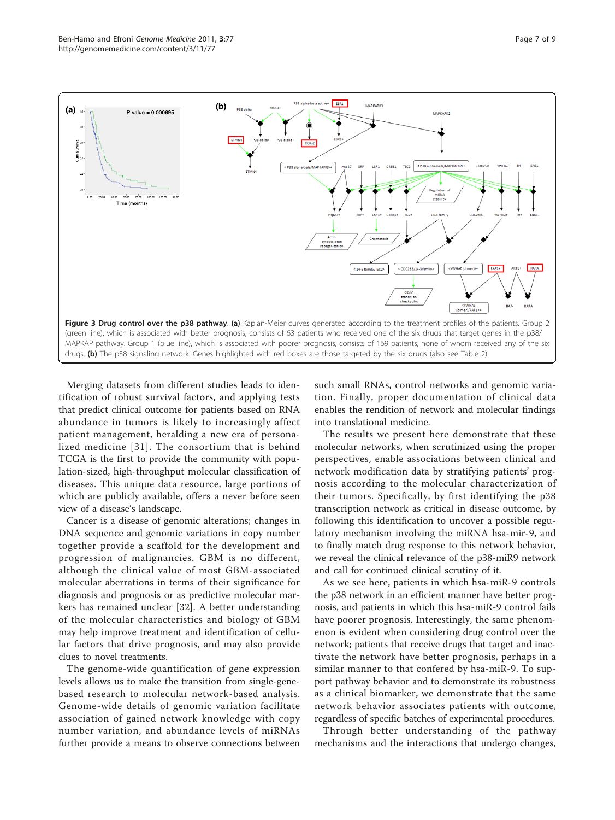<span id="page-6-0"></span>

Merging datasets from different studies leads to identification of robust survival factors, and applying tests that predict clinical outcome for patients based on RNA abundance in tumors is likely to increasingly affect patient management, heralding a new era of personalized medicine [[31\]](#page-8-0). The consortium that is behind TCGA is the first to provide the community with population-sized, high-throughput molecular classification of diseases. This unique data resource, large portions of which are publicly available, offers a never before seen view of a disease's landscape.

Cancer is a disease of genomic alterations; changes in DNA sequence and genomic variations in copy number together provide a scaffold for the development and progression of malignancies. GBM is no different, although the clinical value of most GBM-associated molecular aberrations in terms of their significance for diagnosis and prognosis or as predictive molecular markers has remained unclear [[32\]](#page-8-0). A better understanding of the molecular characteristics and biology of GBM may help improve treatment and identification of cellular factors that drive prognosis, and may also provide clues to novel treatments.

The genome-wide quantification of gene expression levels allows us to make the transition from single-genebased research to molecular network-based analysis. Genome-wide details of genomic variation facilitate association of gained network knowledge with copy number variation, and abundance levels of miRNAs further provide a means to observe connections between

such small RNAs, control networks and genomic variation. Finally, proper documentation of clinical data enables the rendition of network and molecular findings into translational medicine.

The results we present here demonstrate that these molecular networks, when scrutinized using the proper perspectives, enable associations between clinical and network modification data by stratifying patients' prognosis according to the molecular characterization of their tumors. Specifically, by first identifying the p38 transcription network as critical in disease outcome, by following this identification to uncover a possible regulatory mechanism involving the miRNA hsa-mir-9, and to finally match drug response to this network behavior, we reveal the clinical relevance of the p38-miR9 network and call for continued clinical scrutiny of it.

As we see here, patients in which hsa-miR-9 controls the p38 network in an efficient manner have better prognosis, and patients in which this hsa-miR-9 control fails have poorer prognosis. Interestingly, the same phenomenon is evident when considering drug control over the network; patients that receive drugs that target and inactivate the network have better prognosis, perhaps in a similar manner to that confered by hsa-miR-9. To support pathway behavior and to demonstrate its robustness as a clinical biomarker, we demonstrate that the same network behavior associates patients with outcome, regardless of specific batches of experimental procedures.

Through better understanding of the pathway mechanisms and the interactions that undergo changes,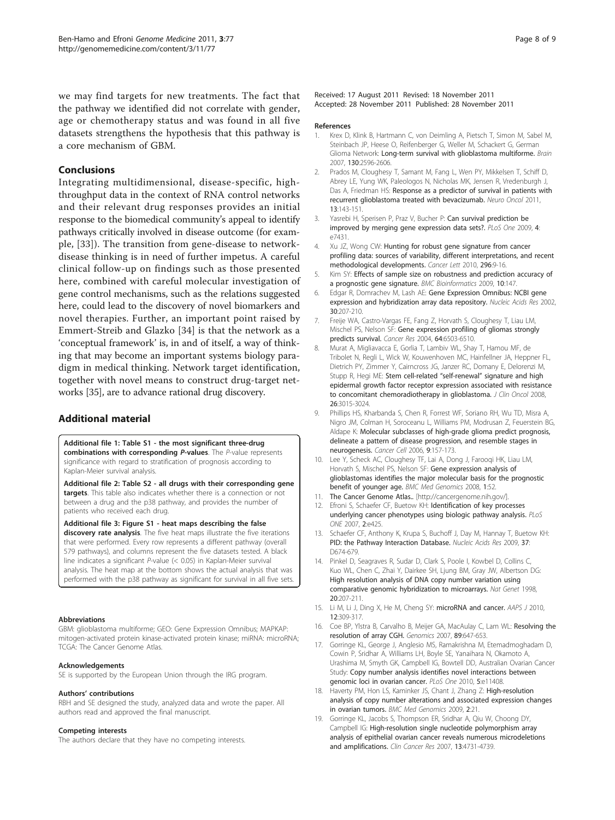<span id="page-7-0"></span>we may find targets for new treatments. The fact that the pathway we identified did not correlate with gender, age or chemotherapy status and was found in all five datasets strengthens the hypothesis that this pathway is a core mechanism of GBM.

# **Conclusions**

Integrating multidimensional, disease-specific, highthroughput data in the context of RNA control networks and their relevant drug responses provides an initial response to the biomedical community's appeal to identify pathways critically involved in disease outcome (for example, [[33\]](#page-8-0)). The transition from gene-disease to networkdisease thinking is in need of further impetus. A careful clinical follow-up on findings such as those presented here, combined with careful molecular investigation of gene control mechanisms, such as the relations suggested here, could lead to the discovery of novel biomarkers and novel therapies. Further, an important point raised by Emmert-Streib and Glazko [[34\]](#page-8-0) is that the network as a 'conceptual framework' is, in and of itself, a way of thinking that may become an important systems biology paradigm in medical thinking. Network target identification, together with novel means to construct drug-target networks [\[35\]](#page-8-0), are to advance rational drug discovery.

# Additional material

[Additional file 1: T](http://www.biomedcentral.com/content/supplementary/gm293-S1.DOC)able S1 - the most significant three-drug combinations with corresponding P-values. The P-value represents significance with regard to stratification of prognosis according to Kaplan-Meier survival analysis.

[Additional file 2: T](http://www.biomedcentral.com/content/supplementary/gm293-S2.PPT)able S2 - all drugs with their corresponding gene targets. This table also indicates whether there is a connection or not between a drug and the p38 pathway, and provides the number of patients who received each drug.

[Additional file 3: F](http://www.biomedcentral.com/content/supplementary/gm293-S3.DOC)igure S1 - heat maps describing the false discovery rate analysis. The five heat maps illustrate the five iterations that were performed. Every row represents a different pathway (overall 579 pathways), and columns represent the five datasets tested. A black line indicates a significant P-value (< 0.05) in Kaplan-Meier survival analysis. The heat map at the bottom shows the actual analysis that was performed with the p38 pathway as significant for survival in all five sets.

#### Abbreviations

GBM: glioblastoma multiforme; GEO: Gene Expression Omnibus; MAPKAP: mitogen-activated protein kinase-activated protein kinase; miRNA: microRNA; TCGA: The Cancer Genome Atlas.

#### Acknowledgements

SE is supported by the European Union through the IRG program.

#### Authors' contributions

RBH and SE designed the study, analyzed data and wrote the paper. All authors read and approved the final manuscript.

#### Competing interests

The authors declare that they have no competing interests.

#### References

- 1. Krex D, Klink B, Hartmann C, von Deimling A, Pietsch T, Simon M, Sabel M, Steinbach JP, Heese O, Reifenberger G, Weller M, Schackert G, German Glioma Network: [Long-term survival with glioblastoma multiforme.](http://www.ncbi.nlm.nih.gov/pubmed/17785346?dopt=Abstract) Brain 2007, 130:2596-2606.
- Prados M, Cloughesy T, Samant M, Fang L, Wen PY, Mikkelsen T, Schiff D, Abrey LE, Yung WK, Paleologos N, Nicholas MK, Jensen R, Vredenburgh J, Das A, Friedman HS: [Response as a predictor of survival in patients with](http://www.ncbi.nlm.nih.gov/pubmed/21084434?dopt=Abstract) [recurrent glioblastoma treated with bevacizumab.](http://www.ncbi.nlm.nih.gov/pubmed/21084434?dopt=Abstract) Neuro Oncol 2011, 13:143-151.
- 3. Yasrebi H, Sperisen P, Praz V, Bucher P: [Can survival prediction be](http://www.ncbi.nlm.nih.gov/pubmed/19851466?dopt=Abstract) [improved by merging gene expression data sets?.](http://www.ncbi.nlm.nih.gov/pubmed/19851466?dopt=Abstract) PLoS One 2009, 4: e7431.
- 4. Xu JZ, Wong CW: [Hunting for robust gene signature from cancer](http://www.ncbi.nlm.nih.gov/pubmed/20579805?dopt=Abstract) [profiling data: sources of variability, different interpretations, and recent](http://www.ncbi.nlm.nih.gov/pubmed/20579805?dopt=Abstract) [methodological developments.](http://www.ncbi.nlm.nih.gov/pubmed/20579805?dopt=Abstract) Cancer Lett 2010, 296:9-16.
- Kim SY: [Effects of sample size on robustness and prediction accuracy of](http://www.ncbi.nlm.nih.gov/pubmed/19445687?dopt=Abstract) [a prognostic gene signature.](http://www.ncbi.nlm.nih.gov/pubmed/19445687?dopt=Abstract) BMC Bioinformatics 2009, 10:147
- 6. Edgar R, Domrachev M, Lash AE: [Gene Expression Omnibus: NCBI gene](http://www.ncbi.nlm.nih.gov/pubmed/11752295?dopt=Abstract) [expression and hybridization array data repository.](http://www.ncbi.nlm.nih.gov/pubmed/11752295?dopt=Abstract) Nucleic Acids Res 2002, 30:207-210.
- 7. Freije WA, Castro-Vargas FE, Fang Z, Horvath S, Cloughesy T, Liau LM, Mischel PS, Nelson SF: [Gene expression profiling of gliomas strongly](http://www.ncbi.nlm.nih.gov/pubmed/15374961?dopt=Abstract) [predicts survival.](http://www.ncbi.nlm.nih.gov/pubmed/15374961?dopt=Abstract) Cancer Res 2004, 64:6503-6510.
- 8. Murat A, Migliavacca E, Gorlia T, Lambiv WL, Shay T, Hamou MF, de Tribolet N, Regli L, Wick W, Kouwenhoven MC, Hainfellner JA, Heppner FL, Dietrich PY, Zimmer Y, Cairncross JG, Janzer RC, Domany E, Delorenzi M, Stupp R, Hegi ME: Stem cell-related "self-renewal" [signature and high](http://www.ncbi.nlm.nih.gov/pubmed/18565887?dopt=Abstract) [epidermal growth factor receptor expression associated with resistance](http://www.ncbi.nlm.nih.gov/pubmed/18565887?dopt=Abstract) [to concomitant chemoradiotherapy in glioblastoma.](http://www.ncbi.nlm.nih.gov/pubmed/18565887?dopt=Abstract) J Clin Oncol 2008, 26:3015-3024.
- 9. Phillips HS, Kharbanda S, Chen R, Forrest WF, Soriano RH, Wu TD, Misra A, Nigro JM, Colman H, Soroceanu L, Williams PM, Modrusan Z, Feuerstein BG, Aldape K: [Molecular subclasses of high-grade glioma predict prognosis,](http://www.ncbi.nlm.nih.gov/pubmed/16530701?dopt=Abstract) [delineate a pattern of disease progression, and resemble stages in](http://www.ncbi.nlm.nih.gov/pubmed/16530701?dopt=Abstract) [neurogenesis.](http://www.ncbi.nlm.nih.gov/pubmed/16530701?dopt=Abstract) Cancer Cell 2006, 9:157-173.
- 10. Lee Y, Scheck AC, Cloughesy TF, Lai A, Dong J, Farooqi HK, Liau LM, Horvath S, Mischel PS, Nelson SF: [Gene expression analysis of](http://www.ncbi.nlm.nih.gov/pubmed/18940004?dopt=Abstract) [glioblastomas identifies the major molecular basis for the prognostic](http://www.ncbi.nlm.nih.gov/pubmed/18940004?dopt=Abstract) [benefit of younger age.](http://www.ncbi.nlm.nih.gov/pubmed/18940004?dopt=Abstract) BMC Med Genomics 2008, 1:52.
- 11. The Cancer Genome Atlas.. [[http://cancergenome.nih.gov/\]](http://cancergenome.nih.gov/)
- 12. Efroni S, Schaefer CF, Buetow KH: [Identification of key processes](http://www.ncbi.nlm.nih.gov/pubmed/17487280?dopt=Abstract) [underlying cancer phenotypes using biologic pathway analysis.](http://www.ncbi.nlm.nih.gov/pubmed/17487280?dopt=Abstract) PLoS ONE 2007, 2:e425.
- 13. Schaefer CF, Anthony K, Krupa S, Buchoff J, Day M, Hannay T, Buetow KH: [PID: the Pathway Interaction Database.](http://www.ncbi.nlm.nih.gov/pubmed/18832364?dopt=Abstract) Nucleic Acids Res 2009, 37: D674-679.
- 14. Pinkel D, Seagraves R, Sudar D, Clark S, Poole I, Kowbel D, Collins C, Kuo WL, Chen C, Zhai Y, Dairkee SH, Ljung BM, Gray JW, Albertson DG: [High resolution analysis of DNA copy number variation using](http://www.ncbi.nlm.nih.gov/pubmed/9771718?dopt=Abstract) [comparative genomic hybridization to microarrays.](http://www.ncbi.nlm.nih.gov/pubmed/9771718?dopt=Abstract) Nat Genet 1998, 20:207-211.
- 15. Li M, Li J, Ding X, He M, Cheng SY: [microRNA and cancer.](http://www.ncbi.nlm.nih.gov/pubmed/20422339?dopt=Abstract) AAPS J 2010, 12:309-317.
- 16. Coe BP, Ylstra B, Carvalho B, Meijer GA, MacAulay C, Lam WL: [Resolving the](http://www.ncbi.nlm.nih.gov/pubmed/17276656?dopt=Abstract) [resolution of array CGH.](http://www.ncbi.nlm.nih.gov/pubmed/17276656?dopt=Abstract) Genomics 2007, 89:647-653.
- 17. Gorringe KL, George J, Anglesio MS, Ramakrishna M, Etemadmoghadam D, Cowin P, Sridhar A, Williams LH, Boyle SE, Yanaihara N, Okamoto A, Urashima M, Smyth GK, Campbell IG, Bowtell DD, Australian Ovarian Cancer Study: [Copy number analysis identifies novel interactions between](http://www.ncbi.nlm.nih.gov/pubmed/20844748?dopt=Abstract) [genomic loci in ovarian cancer.](http://www.ncbi.nlm.nih.gov/pubmed/20844748?dopt=Abstract) PLoS One 2010, 5:e11408.
- 18. Haverty PM, Hon LS, Kaminker JS, Chant J, Zhang Z: [High-resolution](http://www.ncbi.nlm.nih.gov/pubmed/19419571?dopt=Abstract) [analysis of copy number alterations and associated expression changes](http://www.ncbi.nlm.nih.gov/pubmed/19419571?dopt=Abstract) [in ovarian tumors.](http://www.ncbi.nlm.nih.gov/pubmed/19419571?dopt=Abstract) BMC Med Genomics 2009, 2:21.
- 19. Gorringe KL, Jacobs S, Thompson ER, Sridhar A, Qiu W, Choong DY, Campbell IG: [High-resolution single nucleotide polymorphism array](http://www.ncbi.nlm.nih.gov/pubmed/17699850?dopt=Abstract) [analysis of epithelial ovarian cancer reveals numerous microdeletions](http://www.ncbi.nlm.nih.gov/pubmed/17699850?dopt=Abstract) [and amplifications.](http://www.ncbi.nlm.nih.gov/pubmed/17699850?dopt=Abstract) Clin Cancer Res 2007, 13:4731-4739.